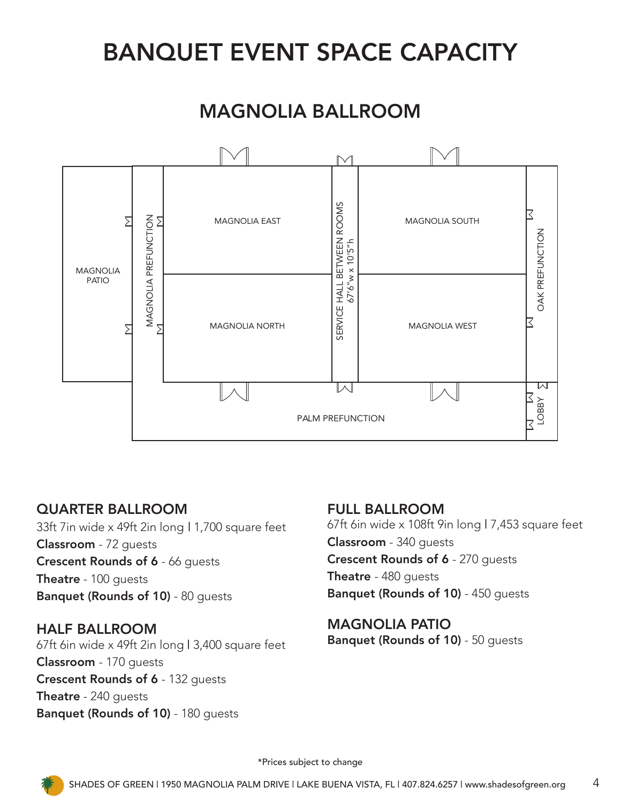# BANQUET EVENT SPACE CAPACITY

## MAGNOLIA BALLROOM



## QUARTER BALLROOM

33ft 7in wide x 49ft 2in long | 1,700 square feet Classroom - 72 guests Crescent Rounds of 6 - 66 guests Theatre - 100 guests Banquet (Rounds of 10) - 80 guests

### HALF BALLROOM

67ft 6in wide x 49ft 2in long | 3,400 square feet Classroom - 170 guests Crescent Rounds of 6 - 132 guests Theatre - 240 quests Banquet (Rounds of 10) - 180 guests

### FULL BALLROOM

67ft 6in wide x 108ft 9in long | 7,453 square feet Classroom - 340 guests Crescent Rounds of 6 - 270 guests Theatre - 480 quests Banquet (Rounds of 10) - 450 guests

## MAGNOLIA PATIO

\*Prices subject to change